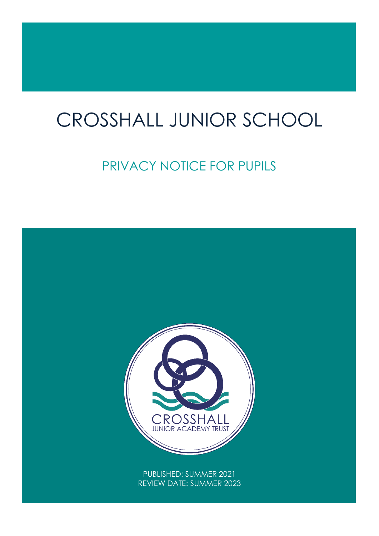# CROSSHALL JUNIOR SCHOOL

# PRIVACY NOTICE FOR PUPILS

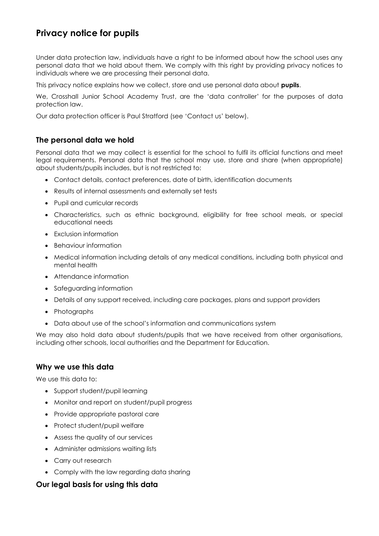# **Privacy notice for pupils**

Under data protection law, individuals have a right to be informed about how the school uses any personal data that we hold about them. We comply with this right by providing privacy notices to individuals where we are processing their personal data.

This privacy notice explains how we collect, store and use personal data about **pupils**.

We, Crosshall Junior School Academy Trust, are the 'data controller' for the purposes of data protection law.

Our data protection officer is Paul Stratford (see 'Contact us' below).

#### **The personal data we hold**

Personal data that we may collect is essential for the school to fulfil its official functions and meet legal requirements. Personal data that the school may use, store and share (when appropriate) about students/pupils includes, but is not restricted to:

- Contact details, contact preferences, date of birth, identification documents
- Results of internal assessments and externally set tests
- Pupil and curricular records
- Characteristics, such as ethnic background, eligibility for free school meals, or special educational needs
- Exclusion information
- Behaviour information
- Medical information including details of any medical conditions, including both physical and mental health
- Attendance information
- Safeguarding information
- Details of any support received, including care packages, plans and support providers
- Photographs
- Data about use of the school's information and communications system

We may also hold data about students/pupils that we have received from other organisations, including other schools, local authorities and the Department for Education.

#### **Why we use this data**

We use this data to:

- Support student/pupil learning
- Monitor and report on student/pupil progress
- Provide appropriate pastoral care
- Protect student/pupil welfare
- Assess the quality of our services
- Administer admissions waiting lists
- Carry out research
- Comply with the law regarding data sharing

#### **Our legal basis for using this data**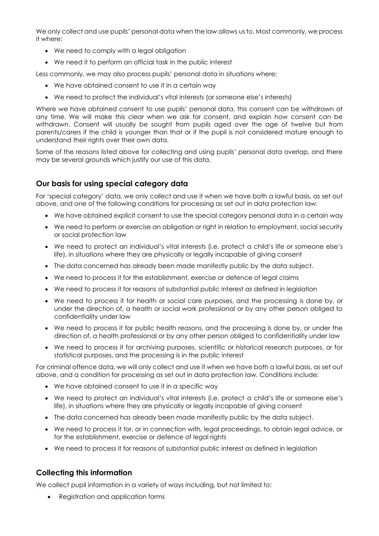We only collect and use pupils' personal data when the law allows us to. Most commonly, we process it where:

- We need to comply with a legal obligation
- We need it to perform an official task in the public interest

Less commonly, we may also process pupils' personal data in situations where:

- We have obtained consent to use it in a certain way
- We need to protect the individual's vital interests (or someone else's interests)

Where we have obtained consent to use pupils' personal data, this consent can be withdrawn at any time. We will make this clear when we ask for consent, and explain how consent can be withdrawn. Consent will usually be sought from pupils aged over the age of twelve but from parents/carers if the child is younger than that or if the pupil is not considered mature enough to understand their rights over their own data.

Some of the reasons listed above for collecting and using pupils' personal data overlap, and there may be several grounds which justify our use of this data.

#### **Our basis for using special category data**

For 'special category' data, we only collect and use it when we have both a lawful basis, as set out above, and one of the following conditions for processing as set out in data protection law:

- We have obtained explicit consent to use the special category personal data in a certain way
- We need to perform or exercise an obligation or right in relation to employment, social security or social protection law
- We need to protect an individual's vital interests (i.e. protect a child's life or someone else's life), in situations where they are physically or legally incapable of giving consent
- The data concerned has already been made manifestly public by the data subject.
- We need to process it for the establishment, exercise or defence of legal claims
- We need to process it for reasons of substantial public interest as defined in legislation
- We need to process it for health or social care purposes, and the processing is done by, or under the direction of, a health or social work professional or by any other person obliged to confidentiality under law
- We need to process it for public health reasons, and the processing is done by, or under the direction of, a health professional or by any other person obliged to confidentiality under law
- We need to process it for archiving purposes, scientific or historical research purposes, or for statistical purposes, and the processing is in the public interest

For criminal offence data, we will only collect and use it when we have both a lawful basis, as set out above, and a condition for processing as set out in data protection law. Conditions include:

- We have obtained consent to use it in a specific way
- We need to protect an individual's vital interests (i.e. protect a child's life or someone else's life), in situations where they are physically or legally incapable of giving consent
- The data concerned has already been made manifestly public by the data subject.
- We need to process it for, or in connection with, legal proceedings, to obtain legal advice, or for the establishment, exercise or defence of legal rights
- We need to process it for reasons of substantial public interest as defined in legislation

#### **Collecting this information**

We collect pupil information in a variety of ways including, but not limited to:

• Registration and application forms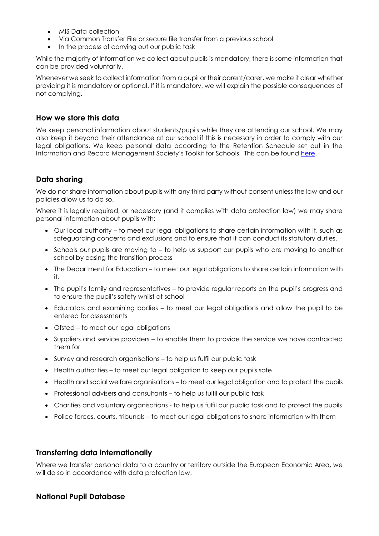- MIS Data collection
- Via Common Transfer File or secure file transfer from a previous school
- In the process of carrying out our public task

While the majority of information we collect about pupils is mandatory, there is some information that can be provided voluntarily.

Whenever we seek to collect information from a pupil or their parent/carer, we make it clear whether providing it is mandatory or optional. If it is mandatory, we will explain the possible consequences of not complying.

#### **How we store this data**

We keep personal information about students/pupils while they are attending our school. We may also keep it beyond their attendance at our school if this is necessary in order to comply with our legal obligations. We keep personal data according to the Retention Schedule set out in the Information and Record Management Society's Toolkit for Schools. This can be found [here.](http://irms.org.uk/?page=schoolstoolkit&terms=%22toolkit+and+schools%22)

#### **Data sharing**

We do not share information about pupils with any third party without consent unless the law and our policies allow us to do so.

Where it is legally required, or necessary (and it complies with data protection law) we may share personal information about pupils with:

- Our local authority to meet our legal obligations to share certain information with it, such as safeguarding concerns and exclusions and to ensure that it can conduct its statutory duties.
- Schools our pupils are moving to to help us support our pupils who are moving to another school by easing the transition process
- The Department for Education to meet our legal obligations to share certain information with it.
- The pupil's family and representatives to provide regular reports on the pupil's progress and to ensure the pupil's safety whilst at school
- Educators and examining bodies to meet our legal obligations and allow the pupil to be entered for assessments
- Ofsted to meet our legal obligations
- Suppliers and service providers to enable them to provide the service we have contracted them for
- Survey and research organisations to help us fulfil our public task
- Health authorities to meet our legal obligation to keep our pupils safe
- Health and social welfare organisations to meet our legal obligation and to protect the pupils
- Professional advisers and consultants to help us fulfil our public task
- Charities and voluntary organisations to help us fulfil our public task and to protect the pupils
- Police forces, courts, tribunals to meet our legal obligations to share information with them

#### **Transferring data internationally**

Where we transfer personal data to a country or territory outside the European Economic Area, we will do so in accordance with data protection law.

#### **National Pupil Database**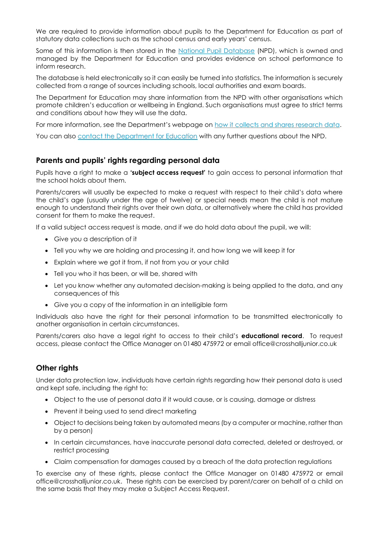We are required to provide information about pupils to the Department for Education as part of statutory data collections such as the school census and early years' census.

Some of this information is then stored in the [National Pupil Database](https://www.gov.uk/government/publications/national-pupil-database-user-guide-and-supporting-information) (NPD), which is owned and managed by the Department for Education and provides evidence on school performance to inform research.

The database is held electronically so it can easily be turned into statistics. The information is securely collected from a range of sources including schools, local authorities and exam boards.

The Department for Education may share information from the NPD with other organisations which promote children's education or wellbeing in England. Such organisations must agree to strict terms and conditions about how they will use the data.

For more information, see the Department's webpage on [how it collects and shares research data.](https://www.gov.uk/data-protection-how-we-collect-and-share-research-data)

You can also [contact the Department for Education](https://www.gov.uk/contact-dfe) with any further questions about the NPD.

#### **Parents and pupils' rights regarding personal data**

Pupils have a right to make a **'subject access request'** to gain access to personal information that the school holds about them.

Parents/carers will usually be expected to make a request with respect to their child's data where the child's age (usually under the age of twelve) or special needs mean the child is not mature enough to understand their rights over their own data, or alternatively where the child has provided consent for them to make the request.

If a valid subject access request is made, and if we do hold data about the pupil, we will:

- Give you a description of it
- Tell you why we are holding and processing it, and how long we will keep it for
- Explain where we got it from, if not from you or your child
- Tell you who it has been, or will be, shared with
- Let you know whether any automated decision-making is being applied to the data, and any consequences of this
- Give you a copy of the information in an intelligible form

Individuals also have the right for their personal information to be transmitted electronically to another organisation in certain circumstances.

Parents/carers also have a legal right to access to their child's **educational record**. To request access, please contact the Office Manager on 01480 475972 or email office@crosshalljunior.co.uk

#### **Other rights**

Under data protection law, individuals have certain rights regarding how their personal data is used and kept safe, including the right to:

- Object to the use of personal data if it would cause, or is causing, damage or distress
- Prevent it being used to send direct marketing
- Object to decisions being taken by automated means (by a computer or machine, rather than by a person)
- In certain circumstances, have inaccurate personal data corrected, deleted or destroyed, or restrict processing
- Claim compensation for damages caused by a breach of the data protection regulations

To exercise any of these rights, please contact the Office Manager on 01480 475972 or email office@crosshalljunior.co.uk. These rights can be exercised by parent/carer on behalf of a child on the same basis that they may make a Subject Access Request.